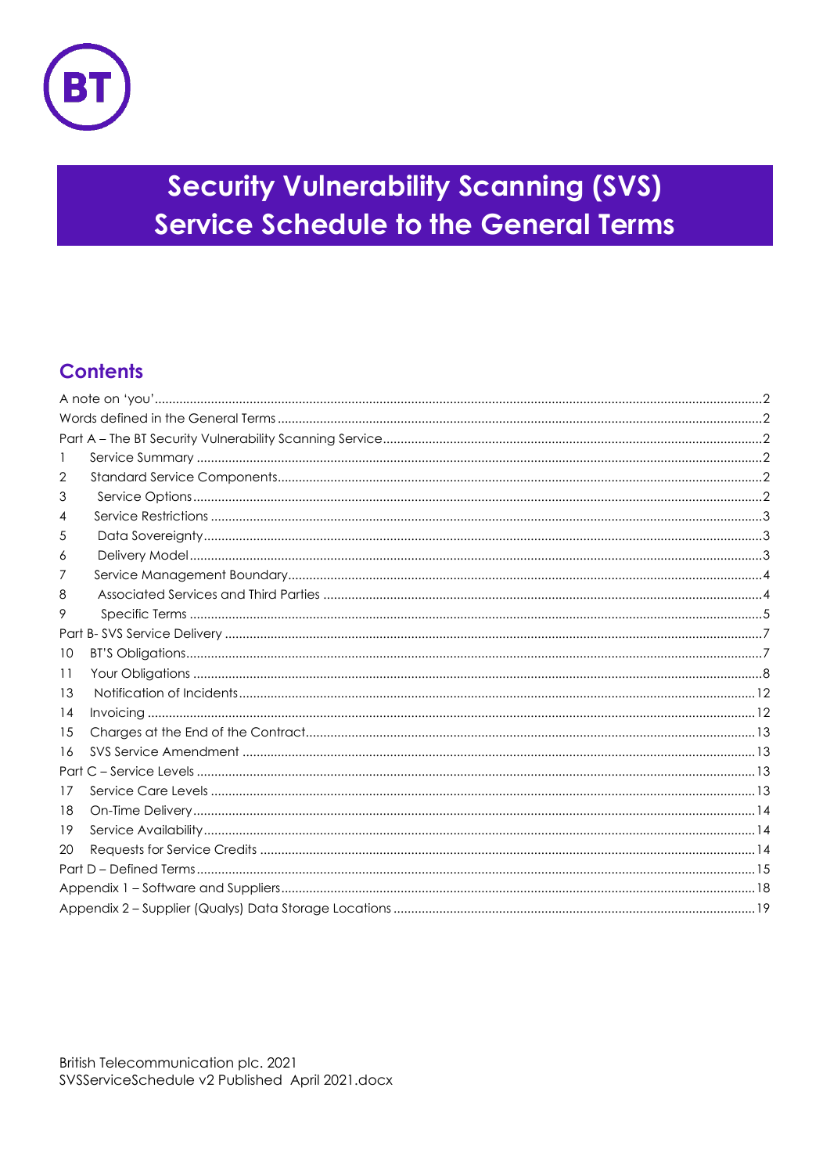

# **Security Vulnerability Scanning (SVS) Service Schedule to the General Terms**

# **Contents**

| 2  |  |
|----|--|
| 3  |  |
| 4  |  |
| 5  |  |
| 6  |  |
| 7  |  |
| 8  |  |
| 9  |  |
|    |  |
| 10 |  |
| 11 |  |
| 13 |  |
| 14 |  |
| 15 |  |
| 16 |  |
|    |  |
| 17 |  |
| 18 |  |
| 19 |  |
| 20 |  |
|    |  |
|    |  |
|    |  |

British Telecommunication plc. 2021 SVSServiceSchedule v2 Published April 2021.docx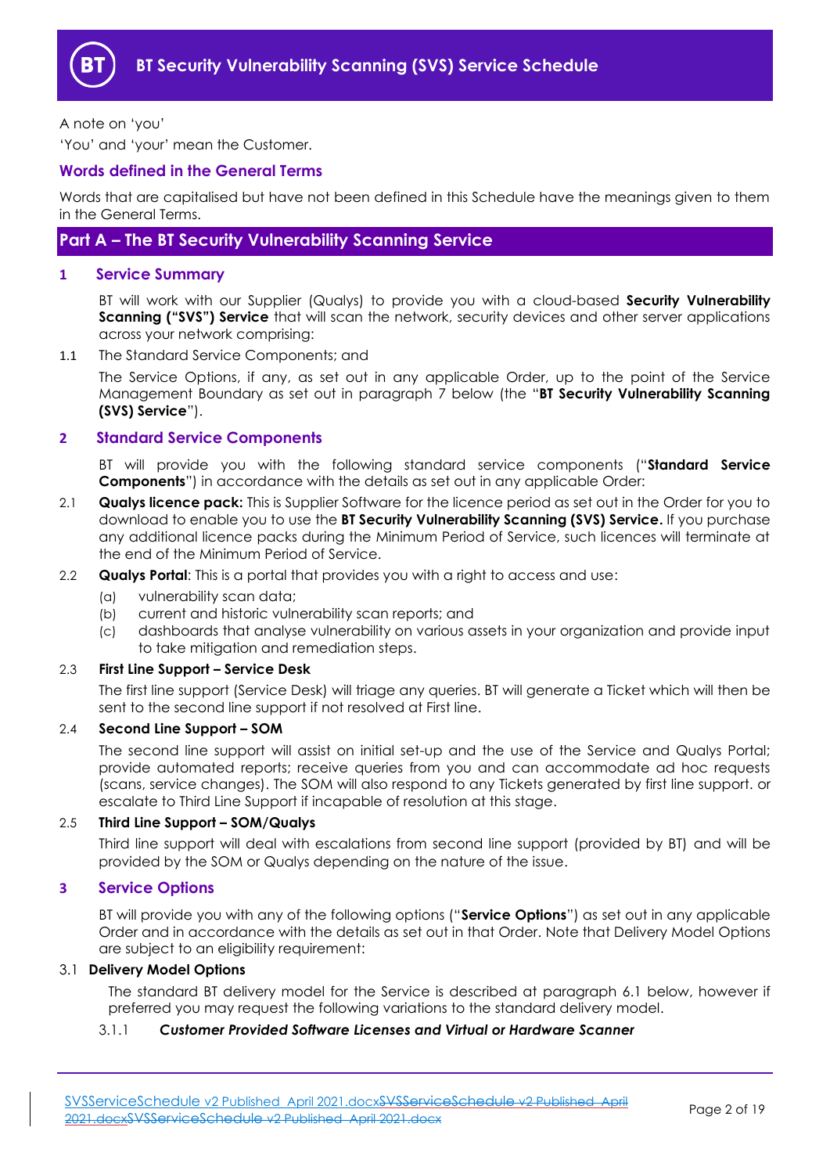

<span id="page-1-0"></span>A note on 'you'

'You' and 'your' mean the Customer.

#### <span id="page-1-1"></span>**Words defined in the General Terms**

Words that are capitalised but have not been defined in this Schedule have the meanings given to them in the General Terms.

# <span id="page-1-2"></span>**Part A – The BT Security Vulnerability Scanning Service**

#### **1 Service Summary**

<span id="page-1-3"></span>BT will work with our Supplier (Qualys) to provide you with a cloud-based **Security Vulnerability Scanning ("SVS") Service** that will scan the network, security devices and other server applications across your network comprising:

1.1 The Standard Service Components; and

The Service Options, if any, as set out in any applicable Order, up to the point of the Service Management Boundary as set out in paragraph 7 below (the "**BT Security Vulnerability Scanning (SVS) Service**").

#### <span id="page-1-4"></span>**2 Standard Service Components**

BT will provide you with the following standard service components ("**Standard Service Components**") in accordance with the details as set out in any applicable Order:

- 2.1 **Qualys licence pack:** This is Supplier Software for the licence period as set out in the Order for you to download to enable you to use the **BT Security Vulnerability Scanning (SVS) Service.** If you purchase any additional licence packs during the Minimum Period of Service, such licences will terminate at the end of the Minimum Period of Service.
- 2.2 **Qualys Portal**: This is a portal that provides you with a right to access and use:
	- (a) vulnerability scan data;
	- (b) current and historic vulnerability scan reports; and
	- (c) dashboards that analyse vulnerability on various assets in your organization and provide input to take mitigation and remediation steps.

#### 2.3 **First Line Support – Service Desk**

The first line support (Service Desk) will triage any queries. BT will generate a Ticket which will then be sent to the second line support if not resolved at First line.

#### 2.4 **Second Line Support – SOM**

The second line support will assist on initial set-up and the use of the Service and Qualys Portal; provide automated reports; receive queries from you and can accommodate ad hoc requests (scans, service changes). The SOM will also respond to any Tickets generated by first line support. or escalate to Third Line Support if incapable of resolution at this stage.

#### 2.5 **Third Line Support – SOM/Qualys**

Third line support will deal with escalations from second line support (provided by BT) and will be provided by the SOM or Qualys depending on the nature of the issue.

#### <span id="page-1-5"></span>**3 Service Options**

BT will provide you with any of the following options ("**Service Options**") as set out in any applicable Order and in accordance with the details as set out in that Order. Note that Delivery Model Options are subject to an eligibility requirement:

#### 3.1 **Delivery Model Options**

The standard BT delivery model for the Service is described at paragraph 6.1 below, however if preferred you may request the following variations to the standard delivery model.

#### 3.1.1 *Customer Provided Software Licenses and Virtual or Hardware Scanner*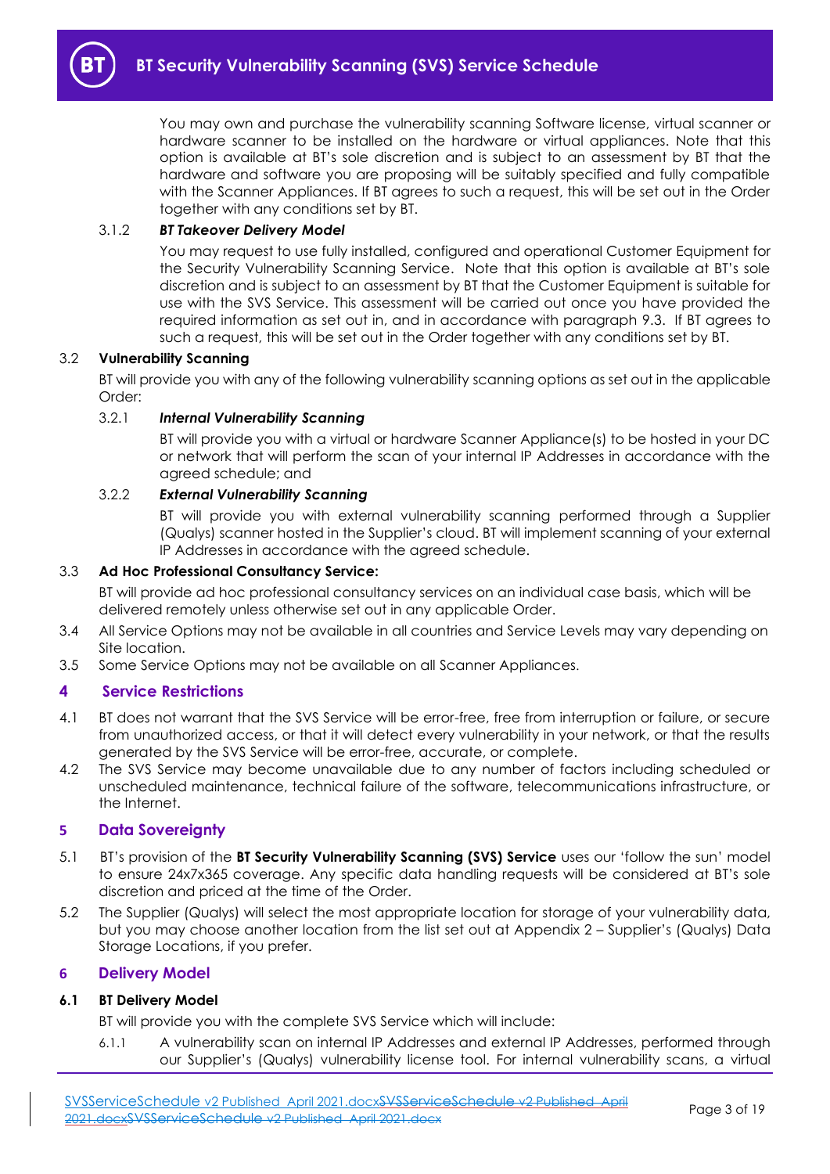You may own and purchase the vulnerability scanning Software license, virtual scanner or hardware scanner to be installed on the hardware or virtual appliances. Note that this option is available at BT's sole discretion and is subject to an assessment by BT that the hardware and software you are proposing will be suitably specified and fully compatible with the Scanner Appliances. If BT agrees to such a request, this will be set out in the Order together with any conditions set by BT.

#### 3.1.2 *BT Takeover Delivery Model*

You may request to use fully installed, configured and operational Customer Equipment for the Security Vulnerability Scanning Service. Note that this option is available at BT's sole discretion and is subject to an assessment by BT that the Customer Equipment is suitable for use with the SVS Service. This assessment will be carried out once you have provided the required information as set out in, and in accordance with paragraph 9.3. If BT agrees to such a request, this will be set out in the Order together with any conditions set by BT.

#### 3.2 **Vulnerability Scanning**

BT will provide you with any of the following vulnerability scanning options as set out in the applicable Order:

#### 3.2.1 *Internal Vulnerability Scanning*

BT will provide you with a virtual or hardware Scanner Appliance(s) to be hosted in your DC or network that will perform the scan of your internal IP Addresses in accordance with the agreed schedule; and

# 3.2.2 *External Vulnerability Scanning*

BT will provide you with external vulnerability scanning performed through a Supplier (Qualys) scanner hosted in the Supplier's cloud. BT will implement scanning of your external IP Addresses in accordance with the agreed schedule.

#### 3.3 **Ad Hoc Professional Consultancy Service:**

BT will provide ad hoc professional consultancy services on an individual case basis, which will be delivered remotely unless otherwise set out in any applicable Order.

- 3.4 All Service Options may not be available in all countries and Service Levels may vary depending on Site location.
- 3.5 Some Service Options may not be available on all Scanner Appliances.

# <span id="page-2-0"></span>**4 Service Restrictions**

- 4.1 BT does not warrant that the SVS Service will be error-free, free from interruption or failure, or secure from unauthorized access, or that it will detect every vulnerability in your network, or that the results generated by the SVS Service will be error-free, accurate, or complete.
- 4.2 The SVS Service may become unavailable due to any number of factors including scheduled or unscheduled maintenance, technical failure of the software, telecommunications infrastructure, or the Internet.

#### <span id="page-2-1"></span>**5 Data Sovereignty**

- 5.1 BT's provision of the **BT Security Vulnerability Scanning (SVS) Service** uses our 'follow the sun' model to ensure 24x7x365 coverage. Any specific data handling requests will be considered at BT's sole discretion and priced at the time of the Order.
- 5.2 The Supplier (Qualys) will select the most appropriate location for storage of your vulnerability data, but you may choose another location from the list set out at Appendix 2 – Supplier's (Qualys) Data Storage Locations, if you prefer.

# <span id="page-2-2"></span>**6 Delivery Model**

#### **6.1 BT Delivery Model**

BT will provide you with the complete SVS Service which will include:

6.1.1 A vulnerability scan on internal IP Addresses and external IP Addresses, performed through our Supplier's (Qualys) vulnerability license tool. For internal vulnerability scans, a virtual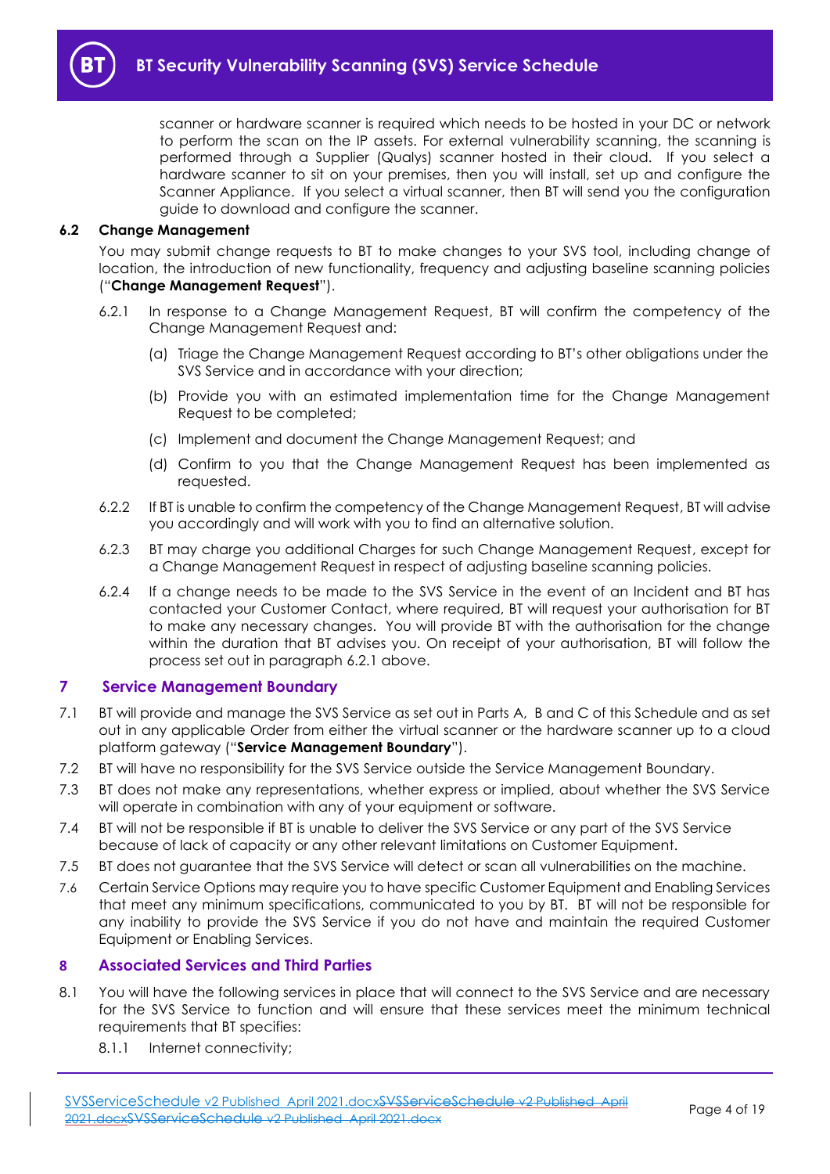

scanner or hardware scanner is required which needs to be hosted in your DC or network to perform the scan on the IP assets. For external vulnerability scanning, the scanning is performed through a Supplier (Qualys) scanner hosted in their cloud. If you select a hardware scanner to sit on your premises, then you will install, set up and configure the Scanner Appliance. If you select a virtual scanner, then BT will send you the configuration guide to download and configure the scanner.

#### **6.2 Change Management**

You may submit change requests to BT to make changes to your SVS tool, including change of location, the introduction of new functionality, frequency and adjusting baseline scanning policies ("**Change Management Request**").

- 6.2.1 In response to a Change Management Request, BT will confirm the competency of the Change Management Request and:
	- (a) Triage the Change Management Request according to BT's other obligations under the SVS Service and in accordance with your direction;
	- (b) Provide you with an estimated implementation time for the Change Management Request to be completed;
	- (c) Implement and document the Change Management Request; and
	- (d) Confirm to you that the Change Management Request has been implemented as requested.
- 6.2.2 If BT is unable to confirm the competency of the Change Management Request, BT will advise you accordingly and will work with you to find an alternative solution.
- 6.2.3 BT may charge you additional Charges for such Change Management Request, except for a Change Management Request in respect of adjusting baseline scanning policies.
- 6.2.4 If a change needs to be made to the SVS Service in the event of an Incident and BT has contacted your Customer Contact, where required, BT will request your authorisation for BT to make any necessary changes. You will provide BT with the authorisation for the change within the duration that BT advises you. On receipt of your authorisation, BT will follow the process set out in paragraph 6.2.1 above.

#### <span id="page-3-0"></span>**7 Service Management Boundary**

- <span id="page-3-2"></span>7.1 BT will provide and manage the SVS Service as set out in Parts A, B and C of this Schedule and as set out in any applicable Order from either the virtual scanner or the hardware scanner up to a cloud platform gateway ("**Service Management Boundary**").
- 7.2 BT will have no responsibility for the SVS Service outside the Service Management Boundary.
- 7.3 BT does not make any representations, whether express or implied, about whether the SVS Service will operate in combination with any of your equipment or software.
- 7.4 BT will not be responsible if BT is unable to deliver the SVS Service or any part of the SVS Service because of lack of capacity or any other relevant limitations on Customer Equipment.
- 7.5 BT does not guarantee that the SVS Service will detect or scan all vulnerabilities on the machine.
- 7.6 Certain Service Options may require you to have specific Customer Equipment and Enabling Services that meet any minimum specifications, communicated to you by BT. BT will not be responsible for any inability to provide the SVS Service if you do not have and maintain the required Customer Equipment or Enabling Services.

#### <span id="page-3-1"></span>**8 Associated Services and Third Parties**

- 8.1 You will have the following services in place that will connect to the SVS Service and are necessary for the SVS Service to function and will ensure that these services meet the minimum technical requirements that BT specifies:
	- 8.1.1 Internet connectivity;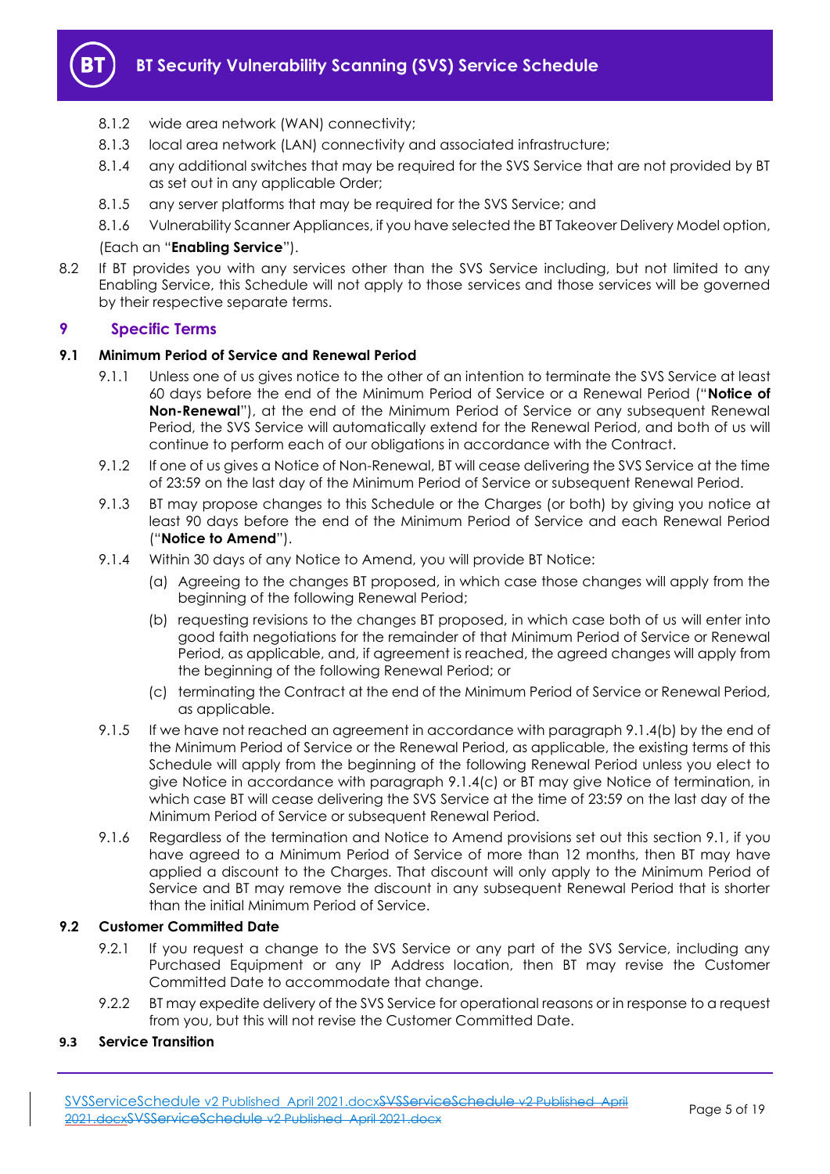

- 8.1.2 wide area network (WAN) connectivity;
- 8.1.3 local area network (LAN) connectivity and associated infrastructure;
- 8.1.4 any additional switches that may be required for the SVS Service that are not provided by BT as set out in any applicable Order;
- 8.1.5 any server platforms that may be required for the SVS Service; and
- 8.1.6 Vulnerability Scanner Appliances, if you have selected the BT Takeover Delivery Model option,
- (Each an "**Enabling Service**").
- 8.2 If BT provides you with any services other than the SVS Service including, but not limited to any Enabling Service, this Schedule will not apply to those services and those services will be governed by their respective separate terms.

# <span id="page-4-0"></span>**9 Specific Terms**

#### **9.1 Minimum Period of Service and Renewal Period**

- 9.1.1 Unless one of us gives notice to the other of an intention to terminate the SVS Service at least 60 days before the end of the Minimum Period of Service or a Renewal Period ("**Notice of Non-Renewal**"), at the end of the Minimum Period of Service or any subsequent Renewal Period, the SVS Service will automatically extend for the Renewal Period, and both of us will continue to perform each of our obligations in accordance with the Contract.
- 9.1.2 If one of us gives a Notice of Non-Renewal, BT will cease delivering the SVS Service at the time of 23:59 on the last day of the Minimum Period of Service or subsequent Renewal Period.
- 9.1.3 BT may propose changes to this Schedule or the Charges (or both) by giving you notice at least 90 days before the end of the Minimum Period of Service and each Renewal Period ("**Notice to Amend**").
- 9.1.4 Within 30 days of any Notice to Amend, you will provide BT Notice:
	- (a) Agreeing to the changes BT proposed, in which case those changes will apply from the beginning of the following Renewal Period;
	- (b) requesting revisions to the changes BT proposed, in which case both of us will enter into good faith negotiations for the remainder of that Minimum Period of Service or Renewal Period, as applicable, and, if agreement is reached, the agreed changes will apply from the beginning of the following Renewal Period; or
	- (c) terminating the Contract at the end of the Minimum Period of Service or Renewal Period, as applicable.
- 9.1.5 If we have not reached an agreement in accordance with paragraph 9.1.4(b) by the end of the Minimum Period of Service or the Renewal Period, as applicable, the existing terms of this Schedule will apply from the beginning of the following Renewal Period unless you elect to give Notice in accordance with paragraph 9.1.4(c) or BT may give Notice of termination, in which case BT will cease delivering the SVS Service at the time of 23:59 on the last day of the Minimum Period of Service or subsequent Renewal Period.
- 9.1.6 Regardless of the termination and Notice to Amend provisions set out this section 9.1, if you have agreed to a Minimum Period of Service of more than 12 months, then BT may have applied a discount to the Charges. That discount will only apply to the Minimum Period of Service and BT may remove the discount in any subsequent Renewal Period that is shorter than the initial Minimum Period of Service.

# **9.2 Customer Committed Date**

- 9.2.1 If you request a change to the SVS Service or any part of the SVS Service, including any Purchased Equipment or any IP Address location, then BT may revise the Customer Committed Date to accommodate that change.
- 9.2.2 BT may expedite delivery of the SVS Service for operational reasons or in response to a request from you, but this will not revise the Customer Committed Date.

#### **9.3 Service Transition**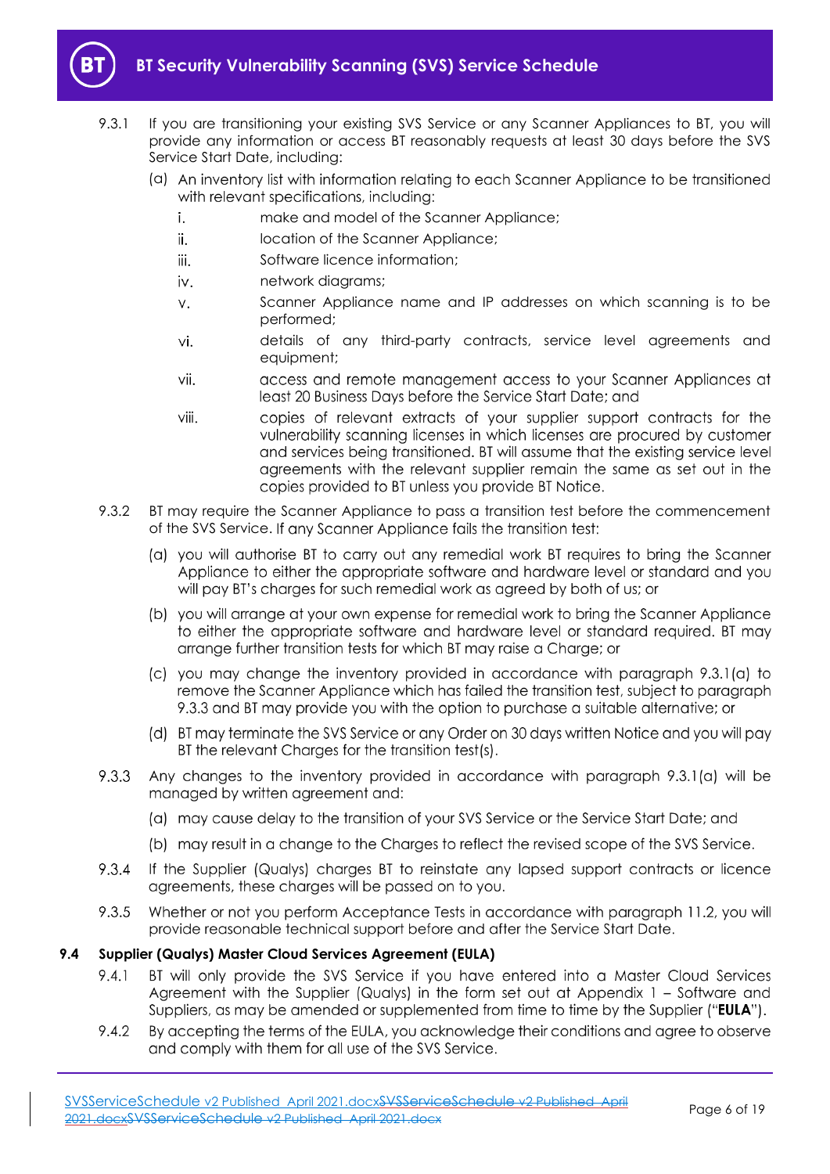

- 9.3.1 If you are transitioning your existing SVS Service or any Scanner Appliances to BT, you will provide any information or access BT reasonably requests at least 30 days before the SVS Service Start Date, including:
	- (a) An inventory list with information relating to each Scanner Appliance to be transitioned with relevant specifications, including:
		- i. make and model of the Scanner Appliance;
		- $\dddot{\mathbf{u}}$ . location of the Scanner Appliance;
		- iii. Software licence information;
		- iv. network diagrams;
		- v. Scanner Appliance name and IP addresses on which scanning is to be performed;
		- vi. details of any third-party contracts, service level agreements and equipment;
		- access and remote management access to your Scanner Appliances at vii. least 20 Business Days before the Service Start Date; and
		- viii. copies of relevant extracts of your supplier support contracts for the vulnerability scanning licenses in which licenses are procured by customer and services being transitioned. BT will assume that the existing service level agreements with the relevant supplier remain the same as set out in the copies provided to BT unless you provide BT Notice.
- 9.3.2 BT may require the Scanner Appliance to pass a transition test before the commencement of the SVS Service. If any Scanner Appliance fails the transition test:
	- (a) you will authorise BT to carry out any remedial work BT requires to bring the Scanner Appliance to either the appropriate software and hardware level or standard and you will pay BT's charges for such remedial work as agreed by both of us; or
	- (b) you will arrange at your own expense for remedial work to bring the Scanner Appliance to either the appropriate software and hardware level or standard required. BT may arrange further transition tests for which BT may raise a Charge; or
	- (c) you may change the inventory provided in accordance with paragraph 9.3.1(a) to remove the Scanner Appliance which has failed the transition test, subject to paragraph 9.3.3 and BT may provide you with the option to purchase a suitable alternative; or
	- (d) BT may terminate the SVS Service or any Order on 30 days written Notice and you will pay BT the relevant Charges for the transition test(s).
- 9.3.3 Any changes to the inventory provided in accordance with paragraph 9.3.1(a) will be managed by written agreement and:
	- (a) may cause delay to the transition of your SVS Service or the Service Start Date; and
	- (b) may result in a change to the Charges to reflect the revised scope of the SVS Service.
- 9.3.4 If the Supplier (Qualys) charges BT to reinstate any lapsed support contracts or licence agreements, these charges will be passed on to you.
- Whether or not you perform Acceptance Tests in accordance with paragraph 11.2, you will 9.3.5 provide reasonable technical support before and after the Service Start Date.

# **9.4 Supplier (Qualys) Master Cloud Services Agreement (EULA)**

- BT will only provide the SVS Service if you have entered into a Master Cloud Services 941 Agreement with the Supplier (Qualys) in the form set out at Appendix 1 - Software and Suppliers, as may be amended or supplemented from time to time by the Supplier ("EULA").
- 9.4.2 By accepting the terms of the EULA, you acknowledge their conditions and agree to observe and comply with them for all use of the SVS Service.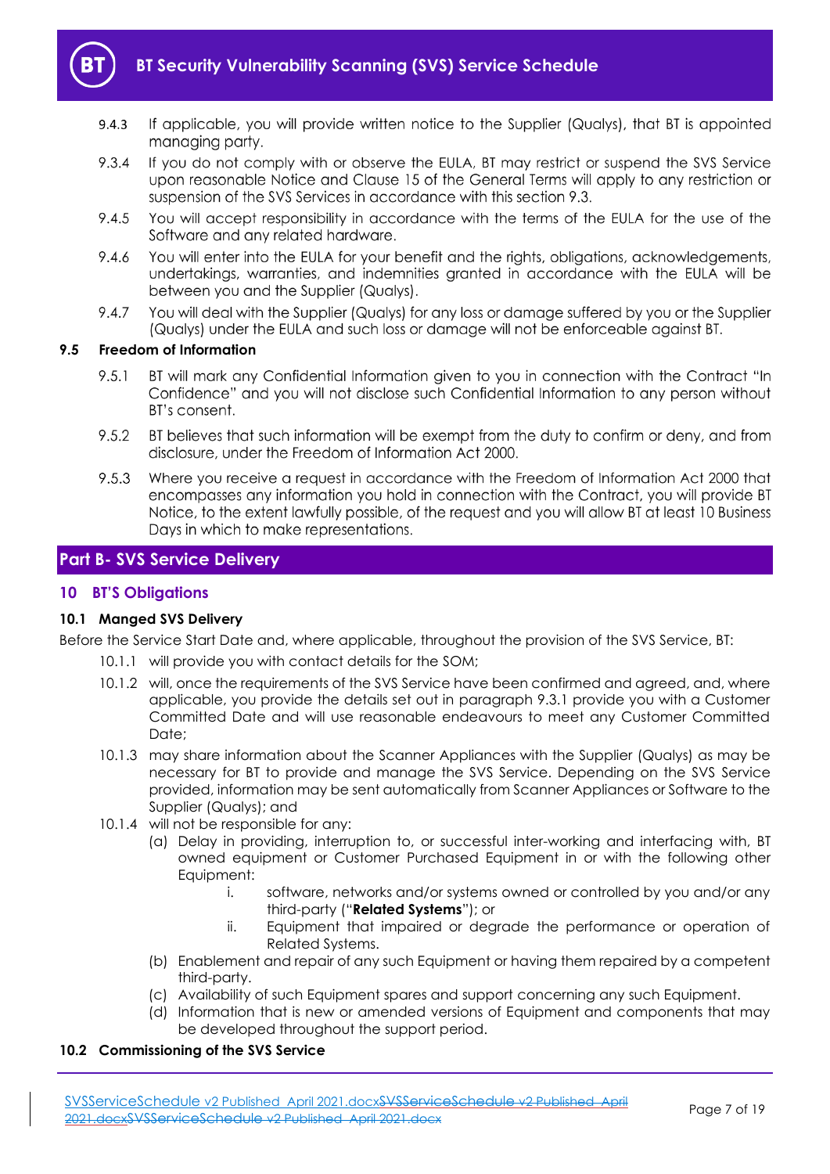

- If applicable, you will provide written notice to the Supplier (Qualys), that BT is appointed 9.4.3 managing party.
- 9.3.4 If you do not comply with or observe the EULA, BT may restrict or suspend the SVS Service upon reasonable Notice and Clause 15 of the General Terms will apply to any restriction or suspension of the SVS Services in accordance with this section 9.3.
- 9.4.5 You will accept responsibility in accordance with the terms of the EULA for the use of the Software and any related hardware.
- 9.4.6 You will enter into the EULA for your benefit and the rights, obligations, acknowledgements, undertakings, warranties, and indemnities granted in accordance with the EULA will be between you and the Supplier (Qualys).
- 9.4.7 You will deal with the Supplier (Qualys) for any loss or damage suffered by you or the Supplier (Qualys) under the EULA and such loss or damage will not be enforceable gaginst BT.

#### **9.5 Freedom of Information**

- $9.5.1$ BT will mark any Confidential Information given to you in connection with the Contract "In Confidence" and you will not disclose such Confidential Information to any person without BT's consent.
- 9.5.2 BT believes that such information will be exempt from the duty to confirm or deny, and from disclosure, under the Freedom of Information Act 2000.
- 9.5.3 Where you receive a request in accordance with the Freedom of Information Act 2000 that encompasses any information you hold in connection with the Contract, you will provide BT Notice, to the extent lawfully possible, of the request and you will allow BT at least 10 Business Days in which to make representations.

# <span id="page-6-0"></span>**Part B- SVS Service Delivery**

#### <span id="page-6-1"></span>**10 BT'S Obligations**

#### **10.1 Manged SVS Delivery**

Before the Service Start Date and, where applicable, throughout the provision of the SVS Service, BT:

- 10.1.1 will provide you with contact details for the SOM;
- 10.1.2 will, once the requirements of the SVS Service have been confirmed and agreed, and, where applicable, you provide the details set out in paragraph 9.3.1 provide you with a Customer Committed Date and will use reasonable endeavours to meet any Customer Committed Date;
- 10.1.3 may share information about the Scanner Appliances with the Supplier (Qualys) as may be necessary for BT to provide and manage the SVS Service. Depending on the SVS Service provided, information may be sent automatically from Scanner Appliances or Software to the Supplier (Qualys); and
- 10.1.4 will not be responsible for any:
	- (a) Delay in providing, interruption to, or successful inter-working and interfacing with, BT owned equipment or Customer Purchased Equipment in or with the following other Equipment:
		- i. software, networks and/or systems owned or controlled by you and/or any third-party ("**Related Systems**"); or
		- ii. Equipment that impaired or degrade the performance or operation of Related Systems.
	- (b) Enablement and repair of any such Equipment or having them repaired by a competent third-party.
	- (c) Availability of such Equipment spares and support concerning any such Equipment.
	- (d) Information that is new or amended versions of Equipment and components that may be developed throughout the support period.

#### **10.2 Commissioning of the SVS Service**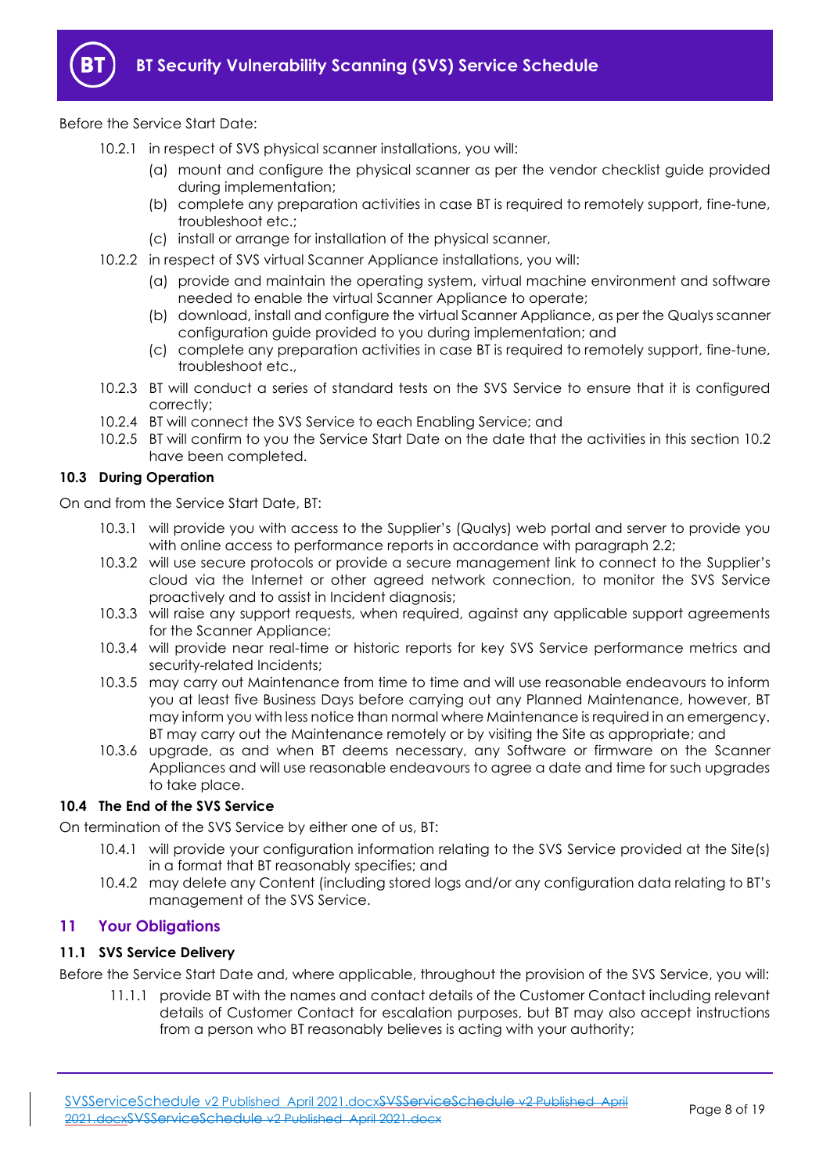

Before the Service Start Date:

- 10.2.1 in respect of SVS physical scanner installations, you will:
	- (a) mount and configure the physical scanner as per the vendor checklist guide provided during implementation;
	- (b) complete any preparation activities in case BT is required to remotely support, fine-tune, troubleshoot etc.;
	- (c) install or arrange for installation of the physical scanner,
- 10.2.2 in respect of SVS virtual Scanner Appliance installations, you will:
	- (a) provide and maintain the operating system, virtual machine environment and software needed to enable the virtual Scanner Appliance to operate;
	- (b) download, install and configure the virtual Scanner Appliance, as per the Qualys scanner configuration guide provided to you during implementation; and
	- (c) complete any preparation activities in case BT is required to remotely support, fine-tune, troubleshoot etc.,
- 10.2.3 BT will conduct a series of standard tests on the SVS Service to ensure that it is configured correctly;
- 10.2.4 BT will connect the SVS Service to each Enabling Service; and
- 10.2.5 BT will confirm to you the Service Start Date on the date that the activities in this section 10.2 have been completed.

#### **10.3 During Operation**

On and from the Service Start Date, BT:

- 10.3.1 will provide you with access to the Supplier's (Qualys) web portal and server to provide you with online access to performance reports in accordance with paragraph 2.2;
- 10.3.2 will use secure protocols or provide a secure management link to connect to the Supplier's cloud via the Internet or other agreed network connection, to monitor the SVS Service proactively and to assist in Incident diagnosis;
- 10.3.3 will raise any support requests, when required, against any applicable support agreements for the Scanner Appliance;
- 10.3.4 will provide near real-time or historic reports for key SVS Service performance metrics and security-related Incidents;
- 10.3.5 may carry out Maintenance from time to time and will use reasonable endeavours to inform you at least five Business Days before carrying out any Planned Maintenance, however, BT may inform you with less notice than normal where Maintenance is required in an emergency. BT may carry out the Maintenance remotely or by visiting the Site as appropriate; and
- 10.3.6 upgrade, as and when BT deems necessary, any Software or firmware on the Scanner Appliances and will use reasonable endeavours to agree a date and time for such upgrades to take place.

# **10.4 The End of the SVS Service**

On termination of the SVS Service by either one of us, BT:

- 10.4.1 will provide your configuration information relating to the SVS Service provided at the Site(s) in a format that BT reasonably specifies; and
- 10.4.2 may delete any Content (including stored logs and/or any configuration data relating to BT's management of the SVS Service.

# <span id="page-7-0"></span>**11 Your Obligations**

# **11.1 SVS Service Delivery**

Before the Service Start Date and, where applicable, throughout the provision of the SVS Service, you will:

11.1.1 provide BT with the names and contact details of the Customer Contact including relevant details of Customer Contact for escalation purposes, but BT may also accept instructions from a person who BT reasonably believes is acting with your authority;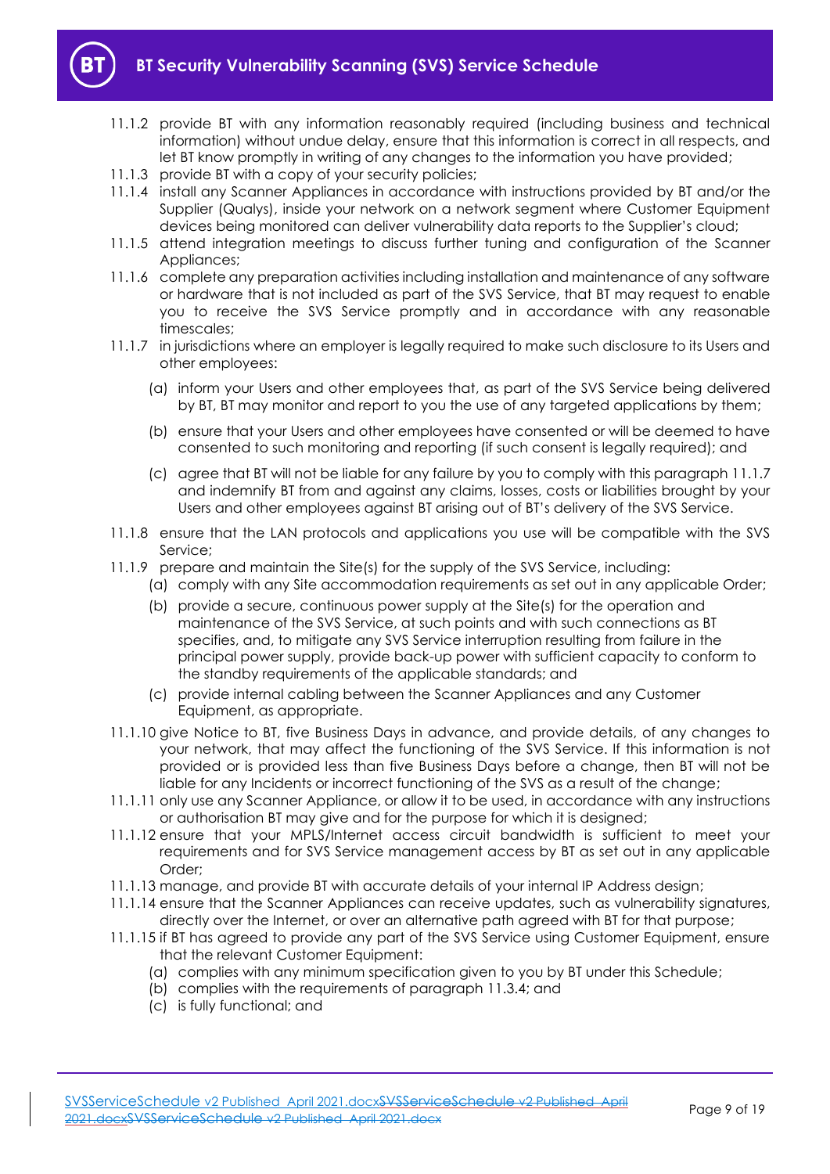

- 11.1.2 provide BT with any information reasonably required (including business and technical information) without undue delay, ensure that this information is correct in all respects, and let BT know promptly in writing of any changes to the information you have provided;
- 11.1.3 provide BT with a copy of your security policies;
- 11.1.4 install any Scanner Appliances in accordance with instructions provided by BT and/or the Supplier (Qualys), inside your network on a network segment where Customer Equipment devices being monitored can deliver vulnerability data reports to the Supplier's cloud;
- 11.1.5 attend integration meetings to discuss further tuning and configuration of the Scanner Appliances;
- 11.1.6 complete any preparation activities including installation and maintenance of any software or hardware that is not included as part of the SVS Service, that BT may request to enable you to receive the SVS Service promptly and in accordance with any reasonable timescales;
- 11.1.7 in jurisdictions where an employer is legally required to make such disclosure to its Users and other employees:
	- (a) inform your Users and other employees that, as part of the SVS Service being delivered by BT, BT may monitor and report to you the use of any targeted applications by them;
	- (b) ensure that your Users and other employees have consented or will be deemed to have consented to such monitoring and reporting (if such consent is legally required); and
	- (c) agree that BT will not be liable for any failure by you to comply with this paragraph 11.1.7 and indemnify BT from and against any claims, losses, costs or liabilities brought by your Users and other employees against BT arising out of BT's delivery of the SVS Service.
- 11.1.8 ensure that the LAN protocols and applications you use will be compatible with the SVS Service;
- 11.1.9 prepare and maintain the Site(s) for the supply of the SVS Service, including:
	- (a) comply with any Site accommodation requirements as set out in any applicable Order;
	- (b) provide a secure, continuous power supply at the Site(s) for the operation and maintenance of the SVS Service, at such points and with such connections as BT specifies, and, to mitigate any SVS Service interruption resulting from failure in the principal power supply, provide back-up power with sufficient capacity to conform to the standby requirements of the applicable standards; and
	- (c) provide internal cabling between the Scanner Appliances and any Customer Equipment, as appropriate.
- 11.1.10 give Notice to BT, five Business Days in advance, and provide details, of any changes to your network, that may affect the functioning of the SVS Service. If this information is not provided or is provided less than five Business Days before a change, then BT will not be liable for any Incidents or incorrect functioning of the SVS as a result of the change;
- 11.1.11 only use any Scanner Appliance, or allow it to be used, in accordance with any instructions or authorisation BT may give and for the purpose for which it is designed;
- 11.1.12 ensure that your MPLS/Internet access circuit bandwidth is sufficient to meet your requirements and for SVS Service management access by BT as set out in any applicable Order;
- 11.1.13 manage, and provide BT with accurate details of your internal IP Address design;
- 11.1.14 ensure that the Scanner Appliances can receive updates, such as vulnerability signatures, directly over the Internet, or over an alternative path agreed with BT for that purpose;
- 11.1.15 if BT has agreed to provide any part of the SVS Service using Customer Equipment, ensure that the relevant Customer Equipment:
	- (a) complies with any minimum specification given to you by BT under this Schedule;
	- (b) complies with the requirements of paragraph 11.3.4; and
	- (c) is fully functional; and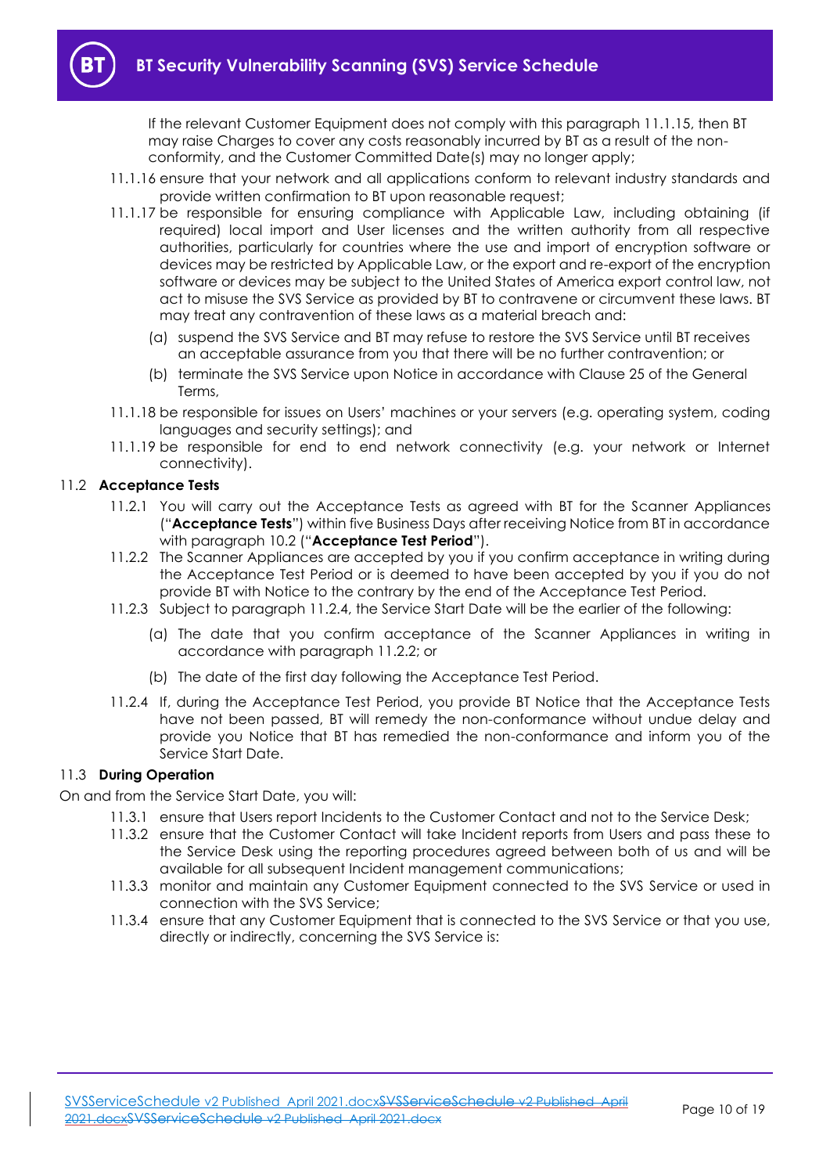If the relevant Customer Equipment does not comply with this paragraph 11.1.15, then BT may raise Charges to cover any costs reasonably incurred by BT as a result of the nonconformity, and the Customer Committed Date(s) may no longer apply;

- 11.1.16 ensure that your network and all applications conform to relevant industry standards and provide written confirmation to BT upon reasonable request;
- 11.1.17 be responsible for ensuring compliance with Applicable Law, including obtaining (if required) local import and User licenses and the written authority from all respective authorities, particularly for countries where the use and import of encryption software or devices may be restricted by Applicable Law, or the export and re-export of the encryption software or devices may be subject to the United States of America export control law, not act to misuse the SVS Service as provided by BT to contravene or circumvent these laws. BT may treat any contravention of these laws as a material breach and:
	- (a) suspend the SVS Service and BT may refuse to restore the SVS Service until BT receives an acceptable assurance from you that there will be no further contravention; or
	- (b) terminate the SVS Service upon Notice in accordance with Clause 25 of the General Terms,
- 11.1.18 be responsible for issues on Users' machines or your servers (e.g. operating system, coding languages and security settings); and
- 11.1.19 be responsible for end to end network connectivity (e.g. your network or Internet connectivity).

# 11.2 **Acceptance Tests**

- 11.2.1 You will carry out the Acceptance Tests as agreed with BT for the Scanner Appliances ("**Acceptance Tests**") within five Business Days after receiving Notice from BT in accordance with paragraph 10.2 ("**Acceptance Test Period**").
- 11.2.2 The Scanner Appliances are accepted by you if you confirm acceptance in writing during the Acceptance Test Period or is deemed to have been accepted by you if you do not provide BT with Notice to the contrary by the end of the Acceptance Test Period.
- 11.2.3 Subject to paragraph 11.2.4, the Service Start Date will be the earlier of the following:
	- (a) The date that you confirm acceptance of the Scanner Appliances in writing in accordance with paragraph 11.2.2; or
	- (b) The date of the first day following the Acceptance Test Period.
- 11.2.4 If, during the Acceptance Test Period, you provide BT Notice that the Acceptance Tests have not been passed, BT will remedy the non-conformance without undue delay and provide you Notice that BT has remedied the non-conformance and inform you of the Service Start Date.

#### 11.3 **During Operation**

On and from the Service Start Date, you will:

- 11.3.1 ensure that Users report Incidents to the Customer Contact and not to the Service Desk;
- 11.3.2 ensure that the Customer Contact will take Incident reports from Users and pass these to the Service Desk using the reporting procedures agreed between both of us and will be available for all subsequent Incident management communications;
- 11.3.3 monitor and maintain any Customer Equipment connected to the SVS Service or used in connection with the SVS Service;
- 11.3.4 ensure that any Customer Equipment that is connected to the SVS Service or that you use, directly or indirectly, concerning the SVS Service is: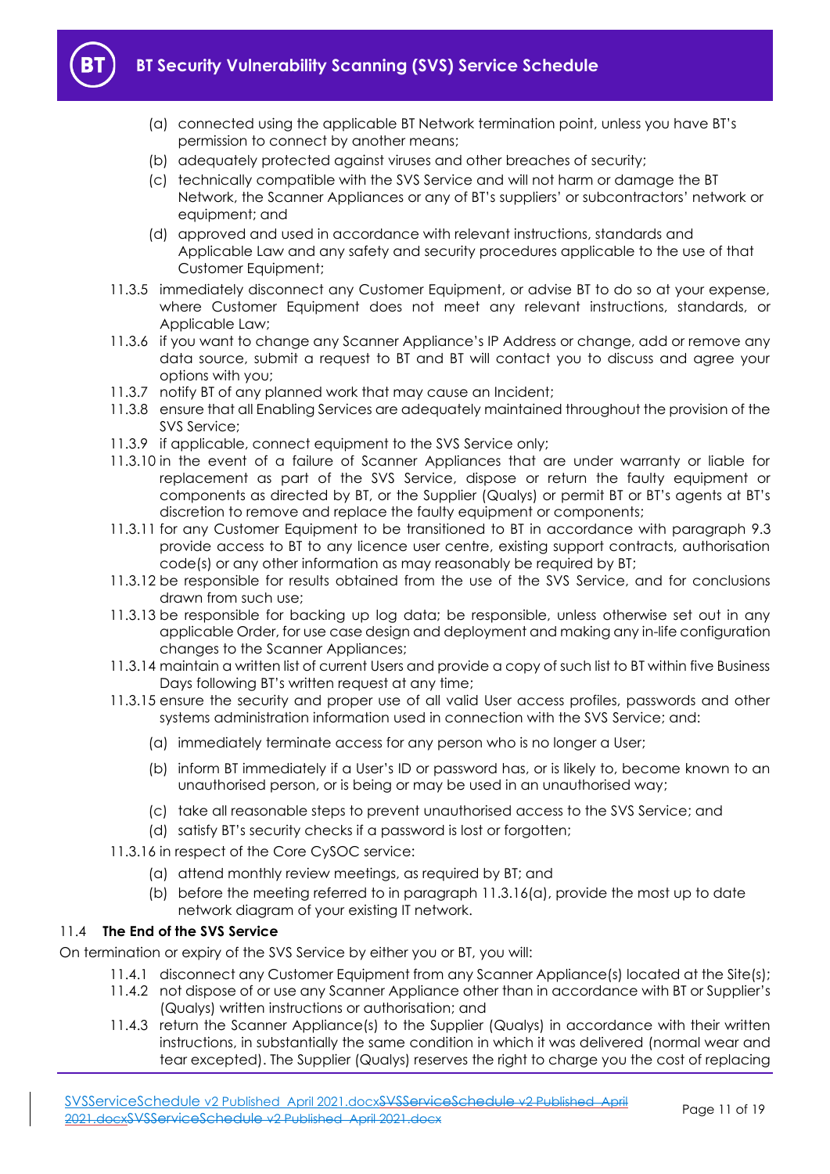

- (a) connected using the applicable BT Network termination point, unless you have BT's permission to connect by another means;
- (b) adequately protected against viruses and other breaches of security;
- (c) technically compatible with the SVS Service and will not harm or damage the BT Network, the Scanner Appliances or any of BT's suppliers' or subcontractors' network or equipment; and
- (d) approved and used in accordance with relevant instructions, standards and Applicable Law and any safety and security procedures applicable to the use of that Customer Equipment;
- 11.3.5 immediately disconnect any Customer Equipment, or advise BT to do so at your expense, where Customer Equipment does not meet any relevant instructions, standards, or Applicable Law;
- 11.3.6 if you want to change any Scanner Appliance's IP Address or change, add or remove any data source, submit a request to BT and BT will contact you to discuss and agree your options with you;
- 11.3.7 notify BT of any planned work that may cause an Incident;
- 11.3.8 ensure that all Enabling Services are adequately maintained throughout the provision of the SVS Service;
- 11.3.9 if applicable, connect equipment to the SVS Service only;
- 11.3.10 in the event of a failure of Scanner Appliances that are under warranty or liable for replacement as part of the SVS Service, dispose or return the faulty equipment or components as directed by BT, or the Supplier (Qualys) or permit BT or BT's agents at BT's discretion to remove and replace the faulty equipment or components;
- 11.3.11 for any Customer Equipment to be transitioned to BT in accordance with paragraph 9.3 provide access to BT to any licence user centre, existing support contracts, authorisation code(s) or any other information as may reasonably be required by BT;
- 11.3.12 be responsible for results obtained from the use of the SVS Service, and for conclusions drawn from such use;
- 11.3.13 be responsible for backing up log data; be responsible, unless otherwise set out in any applicable Order, for use case design and deployment and making any in-life configuration changes to the Scanner Appliances;
- 11.3.14 maintain a written list of current Users and provide a copy of such list to BT within five Business Days following BT's written request at any time;
- 11.3.15 ensure the security and proper use of all valid User access profiles, passwords and other systems administration information used in connection with the SVS Service; and:
	- (a) immediately terminate access for any person who is no longer a User;
	- (b) inform BT immediately if a User's ID or password has, or is likely to, become known to an unauthorised person, or is being or may be used in an unauthorised way;
	- (c) take all reasonable steps to prevent unauthorised access to the SVS Service; and
	- (d) satisfy BT's security checks if a password is lost or forgotten;
- 11.3.16 in respect of the Core CySOC service:
	- (a) attend monthly review meetings, as required by BT; and
	- (b) before the meeting referred to in paragraph 11.3.16(a), provide the most up to date network diagram of your existing IT network.

#### 11.4 **The End of the SVS Service**

On termination or expiry of the SVS Service by either you or BT, you will:

- 11.4.1 disconnect any Customer Equipment from any Scanner Appliance(s) located at the Site(s);
- 11.4.2 not dispose of or use any Scanner Appliance other than in accordance with BT or Supplier's (Qualys) written instructions or authorisation; and
- 11.4.3 return the Scanner Appliance(s) to the Supplier (Qualys) in accordance with their written instructions, in substantially the same condition in which it was delivered (normal wear and tear excepted). The Supplier (Qualys) reserves the right to charge you the cost of replacing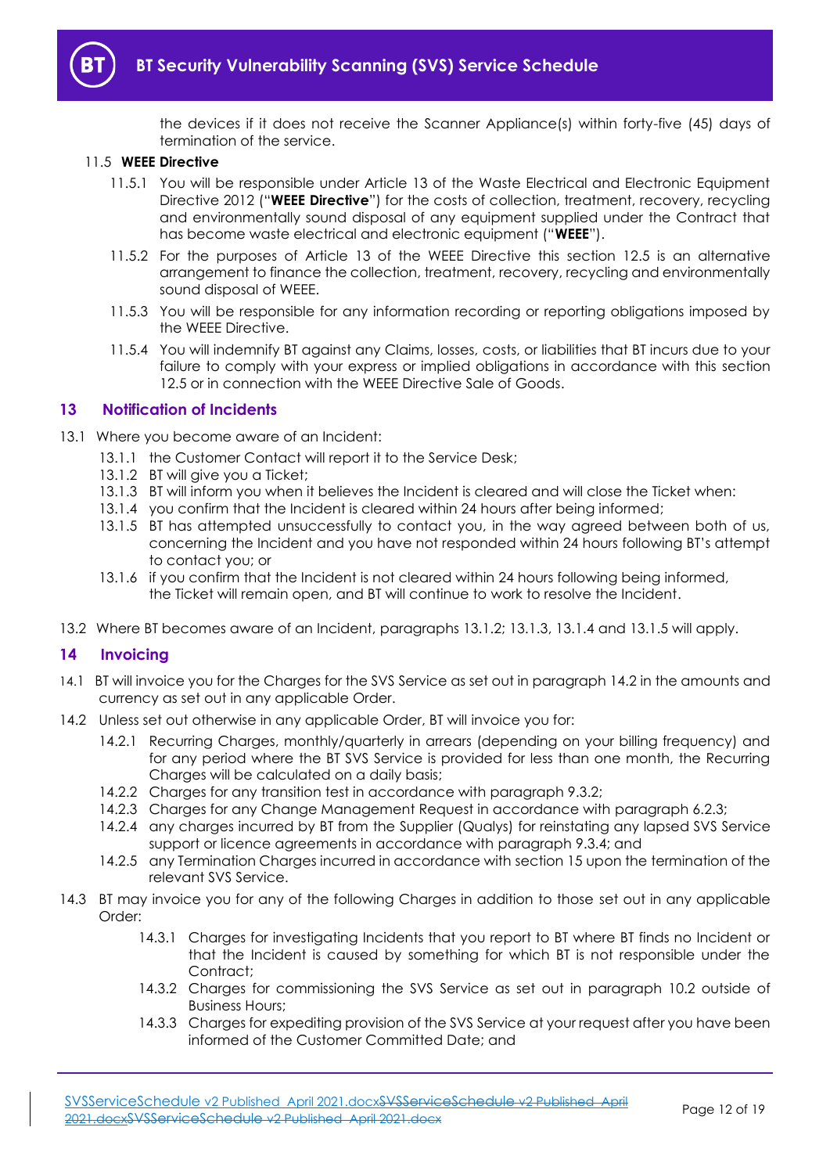

the devices if it does not receive the Scanner Appliance(s) within forty-five (45) days of termination of the service.

#### 11.5 **WEEE Directive**

- 11.5.1 You will be responsible under Article 13 of the Waste Electrical and Electronic Equipment Directive 2012 ("**WEEE Directive**") for the costs of collection, treatment, recovery, recycling and environmentally sound disposal of any equipment supplied under the Contract that has become waste electrical and electronic equipment ("**WEEE**").
- 11.5.2 For the purposes of Article 13 of the WEEE Directive this section 12.5 is an alternative arrangement to finance the collection, treatment, recovery, recycling and environmentally sound disposal of WEEE.
- 11.5.3 You will be responsible for any information recording or reporting obligations imposed by the WEEE Directive.
- 11.5.4 You will indemnify BT against any Claims, losses, costs, or liabilities that BT incurs due to your failure to comply with your express or implied obligations in accordance with this section 12.5 or in connection with the WEEE Directive Sale of Goods.

# <span id="page-11-0"></span>**13 Notification of Incidents**

- 13.1 Where you become aware of an Incident:
	- 13.1.1 the Customer Contact will report it to the Service Desk;
		- 13.1.2 BT will give you a Ticket;
		- 13.1.3 BT will inform you when it believes the Incident is cleared and will close the Ticket when:
		- 13.1.4 you confirm that the Incident is cleared within 24 hours after being informed;
		- 13.1.5 BT has attempted unsuccessfully to contact you, in the way agreed between both of us, concerning the Incident and you have not responded within 24 hours following BT's attempt to contact you; or
		- 13.1.6 if you confirm that the Incident is not cleared within 24 hours following being informed, the Ticket will remain open, and BT will continue to work to resolve the Incident.
- 13.2 Where BT becomes aware of an Incident, paragraphs 13.1.2; 13.1.3, 13.1.4 and 13.1.5 will apply.

# <span id="page-11-1"></span>**14 Invoicing**

- 14.1 BT will invoice you for the Charges for the SVS Service as set out in paragraph 14.2 in the amounts and currency as set out in any applicable Order.
- 14.2 Unless set out otherwise in any applicable Order, BT will invoice you for:
	- 14.2.1 Recurring Charges, monthly/quarterly in arrears (depending on your billing frequency) and for any period where the BT SVS Service is provided for less than one month, the Recurring Charges will be calculated on a daily basis;
	- 14.2.2 Charges for any transition test in accordance with paragraph 9.3.2;
	- 14.2.3 Charges for any Change Management Request in accordance with paragraph 6.2.3;
	- 14.2.4 any charges incurred by BT from the Supplier (Qualys) for reinstating any lapsed SVS Service support or licence agreements in accordance with paragraph 9.3.4; and
	- 14.2.5 any Termination Charges incurred in accordance with section 15 upon the termination of the relevant SVS Service.
- 14.3 BT may invoice you for any of the following Charges in addition to those set out in any applicable Order:
	- 14.3.1 Charges for investigating Incidents that you report to BT where BT finds no Incident or that the Incident is caused by something for which BT is not responsible under the Contract:
	- 14.3.2 Charges for commissioning the SVS Service as set out in paragraph 10.2 outside of Business Hours;
	- 14.3.3 Charges for expediting provision of the SVS Service at your request after you have been informed of the Customer Committed Date; and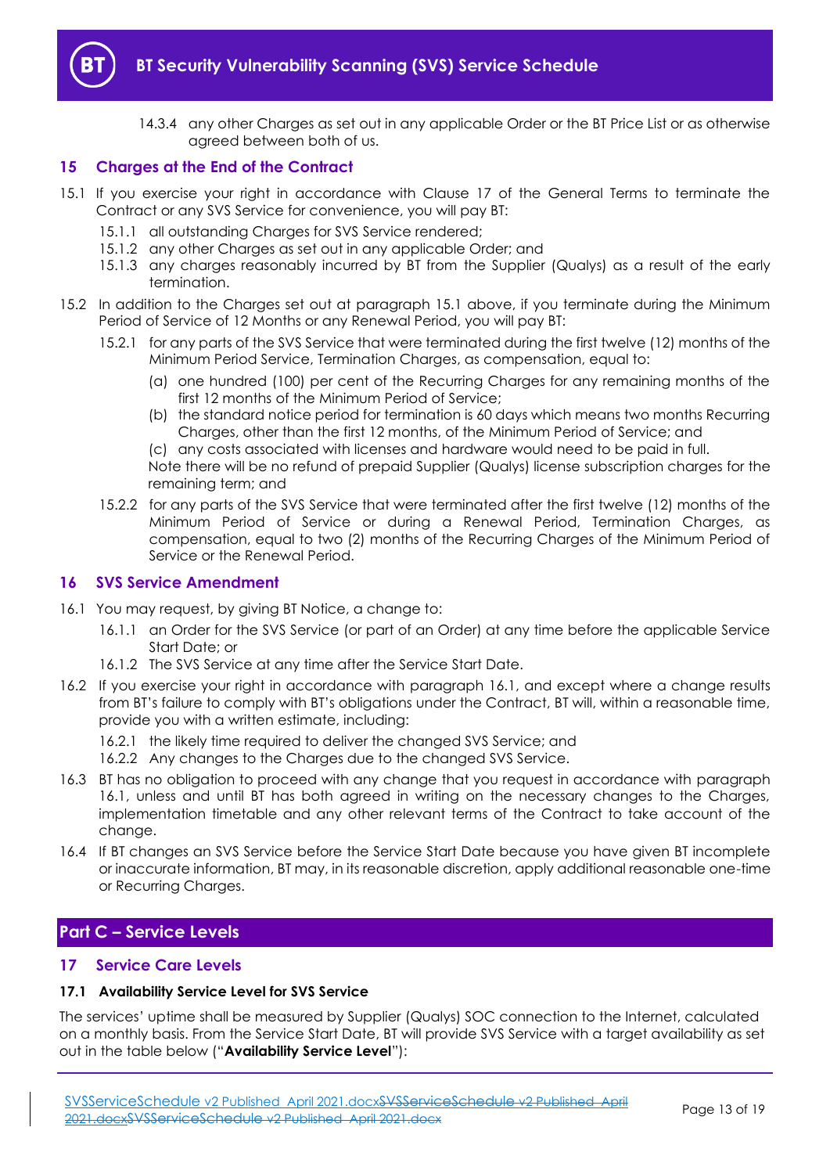

14.3.4 any other Charges as set out in any applicable Order or the BT Price List or as otherwise agreed between both of us.

# <span id="page-12-0"></span>**15 Charges at the End of the Contract**

- 15.1 If you exercise your right in accordance with Clause 17 of the General Terms to terminate the Contract or any SVS Service for convenience, you will pay BT:
	- 15.1.1 all outstanding Charges for SVS Service rendered;
	- 15.1.2 any other Charges as set out in any applicable Order; and
	- 15.1.3 any charges reasonably incurred by BT from the Supplier (Qualys) as a result of the early termination.
- 15.2 In addition to the Charges set out at paragraph 15.1 above, if you terminate during the Minimum Period of Service of 12 Months or any Renewal Period, you will pay BT:
	- 15.2.1 for any parts of the SVS Service that were terminated during the first twelve (12) months of the Minimum Period Service, Termination Charges, as compensation, equal to:
		- (a) one hundred (100) per cent of the Recurring Charges for any remaining months of the first 12 months of the Minimum Period of Service;
		- (b) the standard notice period for termination is 60 days which means two months Recurring Charges, other than the first 12 months, of the Minimum Period of Service; and
		- (c) any costs associated with licenses and hardware would need to be paid in full.

Note there will be no refund of prepaid Supplier (Qualys) license subscription charges for the remaining term; and

15.2.2 for any parts of the SVS Service that were terminated after the first twelve (12) months of the Minimum Period of Service or during a Renewal Period, Termination Charges, as compensation, equal to two (2) months of the Recurring Charges of the Minimum Period of Service or the Renewal Period.

#### <span id="page-12-1"></span>**16 SVS Service Amendment**

- 16.1 You may request, by giving BT Notice, a change to:
	- 16.1.1 an Order for the SVS Service (or part of an Order) at any time before the applicable Service Start Date; or
	- 16.1.2 The SVS Service at any time after the Service Start Date.
- 16.2 If you exercise your right in accordance with paragraph 16.1, and except where a change results from BT's failure to comply with BT's obligations under the Contract, BT will, within a reasonable time, provide you with a written estimate, including:
	- 16.2.1 the likely time required to deliver the changed SVS Service; and
	- 16.2.2 Any changes to the Charges due to the changed SVS Service.
- 16.3 BT has no obligation to proceed with any change that you request in accordance with paragraph 16.1, unless and until BT has both agreed in writing on the necessary changes to the Charges, implementation timetable and any other relevant terms of the Contract to take account of the change.
- 16.4 If BT changes an SVS Service before the Service Start Date because you have given BT incomplete or inaccurate information, BT may, in its reasonable discretion, apply additional reasonable one-time or Recurring Charges.

# <span id="page-12-2"></span>**Part C – Service Levels**

# <span id="page-12-3"></span>**17 Service Care Levels**

#### **17.1 Availability Service Level for SVS Service**

The services' uptime shall be measured by Supplier (Qualys) SOC connection to the Internet, calculated on a monthly basis. From the Service Start Date, BT will provide SVS Service with a target availability as set out in the table below ("**Availability Service Level**"):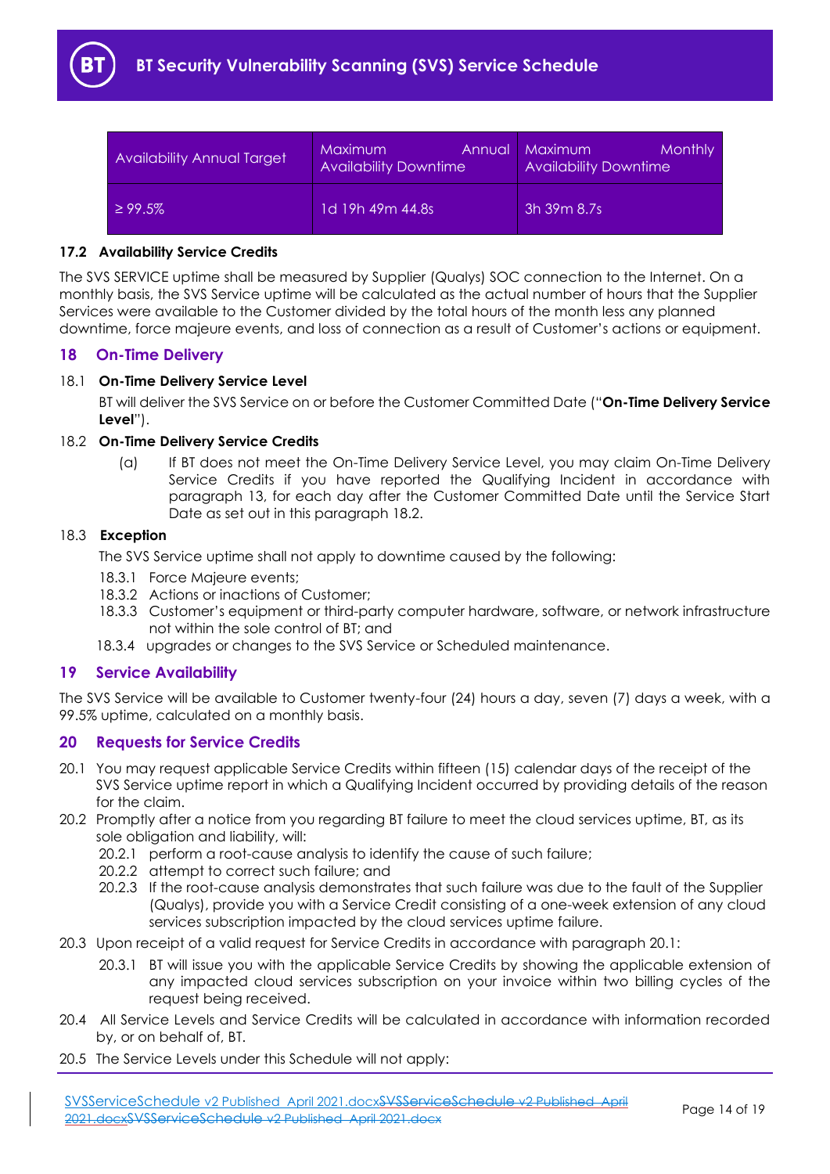

| <b>Availability Annual Target</b> | Maximum<br>Annual<br><b>Availability Downtime</b> | <b>Maximum</b><br><b>Monthly</b><br><b>Availability Downtime</b> |
|-----------------------------------|---------------------------------------------------|------------------------------------------------------------------|
| $\geq 99.5\%$                     | 1d 19h 49m 44.8s                                  | 3h 39m 8.7s                                                      |

#### **17.2 Availability Service Credits**

The SVS SERVICE uptime shall be measured by Supplier (Qualys) SOC connection to the Internet. On a monthly basis, the SVS Service uptime will be calculated as the actual number of hours that the Supplier Services were available to the Customer divided by the total hours of the month less any planned downtime, force majeure events, and loss of connection as a result of Customer's actions or equipment.

#### <span id="page-13-0"></span>**18 On-Time Delivery**

#### 18.1 **On-Time Delivery Service Level**

BT will deliver the SVS Service on or before the Customer Committed Date ("**On-Time Delivery Service Level**").

#### 18.2 **On-Time Delivery Service Credits**

(a) If BT does not meet the On-Time Delivery Service Level, you may claim On-Time Delivery Service Credits if you have reported the Qualifying Incident in accordance with paragraph 13, for each day after the Customer Committed Date until the Service Start Date as set out in this paragraph 18.2.

#### 18.3 **Exception**

The SVS Service uptime shall not apply to downtime caused by the following:

- 18.3.1 Force Majeure events;
- 18.3.2 Actions or inactions of Customer;
- 18.3.3 Customer's equipment or third-party computer hardware, software, or network infrastructure not within the sole control of BT; and
- 18.3.4 upgrades or changes to the SVS Service or Scheduled maintenance.

#### <span id="page-13-1"></span>**19 Service Availability**

The SVS Service will be available to Customer twenty-four (24) hours a day, seven (7) days a week, with a 99.5% uptime, calculated on a monthly basis.

#### <span id="page-13-2"></span>**20 Requests for Service Credits**

- 20.1 You may request applicable Service Credits within fifteen (15) calendar days of the receipt of the SVS Service uptime report in which a Qualifying Incident occurred by providing details of the reason for the claim.
- 20.2 Promptly after a notice from you regarding BT failure to meet the cloud services uptime, BT, as its sole obligation and liability, will:
	- 20.2.1 perform a root-cause analysis to identify the cause of such failure;
	- 20.2.2 attempt to correct such failure; and
	- 20.2.3 If the root-cause analysis demonstrates that such failure was due to the fault of the Supplier (Qualys), provide you with a Service Credit consisting of a one-week extension of any cloud services subscription impacted by the cloud services uptime failure.
- 20.3 Upon receipt of a valid request for Service Credits in accordance with paragraph 20.1:
	- 20.3.1 BT will issue you with the applicable Service Credits by showing the applicable extension of any impacted cloud services subscription on your invoice within two billing cycles of the request being received.
- 20.4 All Service Levels and Service Credits will be calculated in accordance with information recorded by, or on behalf of, BT.
- 20.5 The Service Levels under this Schedule will not apply: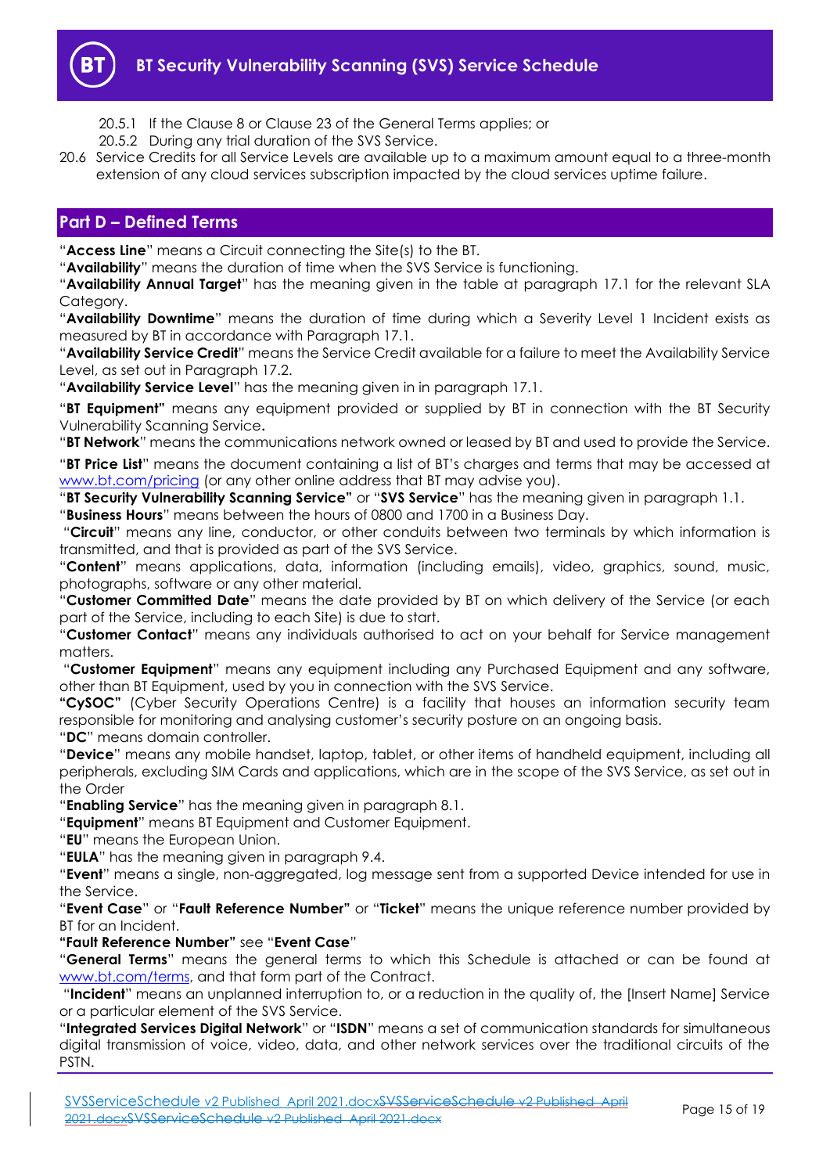

20.5.1 If the Clause 8 or Clause 23 of the General Terms applies; or

20.5.2 During any trial duration of the SVS Service.

20.6 Service Credits for all Service Levels are available up to a maximum amount equal to a three-month extension of any cloud services subscription impacted by the cloud services uptime failure.

# <span id="page-14-0"></span>**Part D – Defined Terms**

"**Access Line**" means a Circuit connecting the Site(s) to the BT.

"**Availability**" means the duration of time when the SVS Service is functioning.

"**Availability Annual Target**" has the meaning given in the table at paragraph 17.1 for the relevant SLA Category.

"**Availability Downtime**" means the duration of time during which a Severity Level 1 Incident exists as measured by BT in accordance with Paragraph 17.1.

"**Availability Service Credit**" means the Service Credit available for a failure to meet the Availability Service Level, as set out in Paragraph 17.2.

"**Availability Service Level**" has the meaning given in in paragraph 17.1.

"**BT Equipment"** means any equipment provided or supplied by BT in connection with the BT Security Vulnerability Scanning Service**.**

"**BT Network**" means the communications network owned or leased by BT and used to provide the Service.

"**BT Price List**" means the document containing a list of BT's charges and terms that may be accessed at [www.bt.com/pricing](http://www.bt.com/pricing) (or any other online address that BT may advise you).

"**BT Security Vulnerability Scanning Service"** or "**SVS Service**" has the meaning given in paragraph 1.1.

"**Business Hours**" means between the hours of 0800 and 1700 in a Business Day.

"**Circuit**" means any line, conductor, or other conduits between two terminals by which information is transmitted, and that is provided as part of the SVS Service.

"**Content**" means applications, data, information (including emails), video, graphics, sound, music, photographs, software or any other material.

"**Customer Committed Date**" means the date provided by BT on which delivery of the Service (or each part of the Service, including to each Site) is due to start.

"**Customer Contact**" means any individuals authorised to act on your behalf for Service management matters.

"**Customer Equipment**" means any equipment including any Purchased Equipment and any software, other than BT Equipment, used by you in connection with the SVS Service.

**"CySOC"** (Cyber Security Operations Centre) is a facility that houses an information security team responsible for monitoring and analysing customer's security posture on an ongoing basis.

"**DC**" means domain controller.

"**Device**" means any mobile handset, laptop, tablet, or other items of handheld equipment, including all peripherals, excluding SIM Cards and applications, which are in the scope of the SVS Service, as set out in the Order

"**Enabling Service**" has the meaning given in paragraph 8.1.

"**Equipment**" means BT Equipment and Customer Equipment.

"**EU**" means the European Union.

"**EULA**" has the meaning given in paragraph 9.4.

"**Event**" means a single, non-aggregated, log message sent from a supported Device intended for use in the Service.

"**Event Case**" or "**Fault Reference Number"** or "**Ticket**" means the unique reference number provided by BT for an Incident.

#### **"Fault Reference Number"** see "**Event Case**"

"**General Terms**" means the general terms to which this Schedule is attached or can be found at [www.bt.com/terms,](http://www.bt.com/terms) and that form part of the Contract.

"**Incident**" means an unplanned interruption to, or a reduction in the quality of, the [Insert Name] Service or a particular element of the SVS Service.

"**Integrated Services Digital Network**" or "**ISDN**" means a set of communication standards for simultaneous digital transmission of voice, video, data, and other network services over the traditional circuits of the PSTN.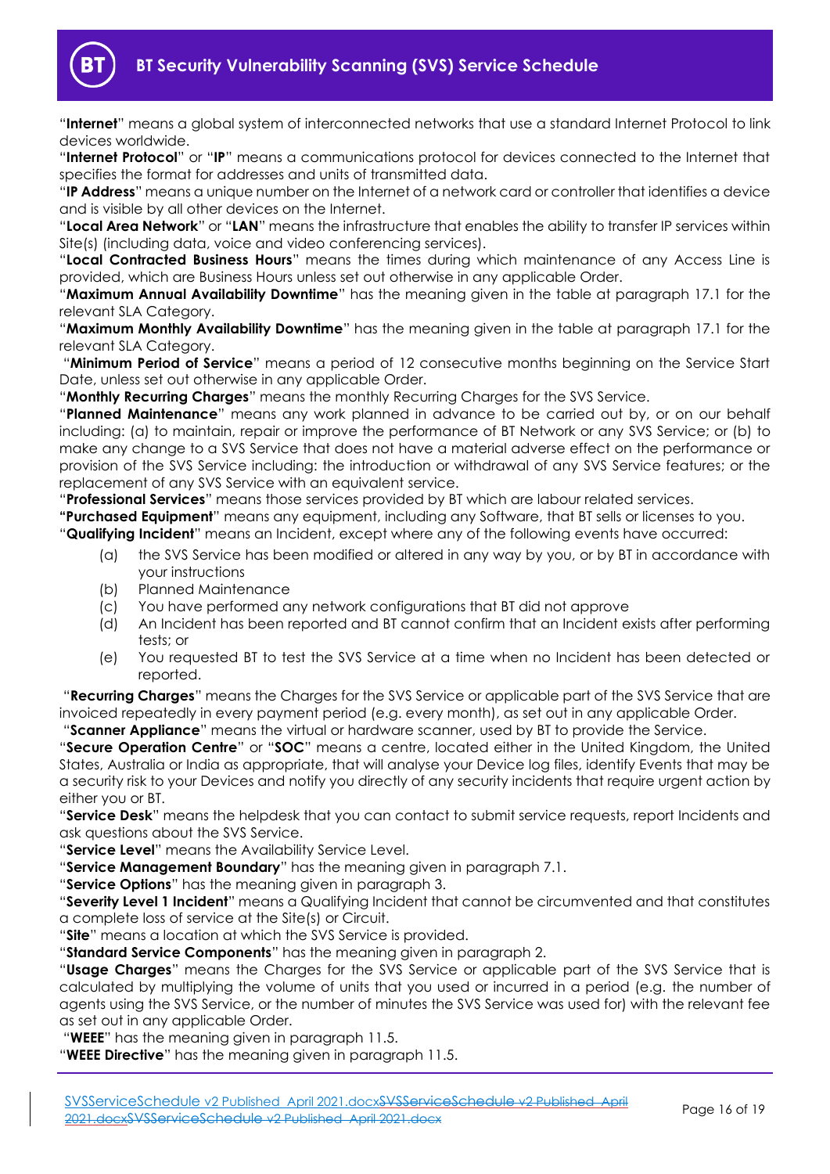

"**Internet**" means a global system of interconnected networks that use a standard Internet Protocol to link devices worldwide.

"**Internet Protocol**" or "**IP**" means a communications protocol for devices connected to the Internet that specifies the format for addresses and units of transmitted data.

"**IP Address**" means a unique number on the Internet of a network card or controller that identifies a device and is visible by all other devices on the Internet.

"**Local Area Network**" or "**LAN**" means the infrastructure that enables the ability to transfer IP services within Site(s) (including data, voice and video conferencing services).

"**Local Contracted Business Hours**" means the times during which maintenance of any Access Line is provided, which are Business Hours unless set out otherwise in any applicable Order.

"**Maximum Annual Availability Downtime**" has the meaning given in the table at paragraph 17.1 for the relevant SLA Category.

"**Maximum Monthly Availability Downtime**" has the meaning given in the table at paragraph 17.1 for the relevant SLA Category.

"**Minimum Period of Service**" means a period of 12 consecutive months beginning on the Service Start Date, unless set out otherwise in any applicable Order.

"**Monthly Recurring Charges**" means the monthly Recurring Charges for the SVS Service.

"**Planned Maintenance**" means any work planned in advance to be carried out by, or on our behalf including: (a) to maintain, repair or improve the performance of BT Network or any SVS Service; or (b) to make any change to a SVS Service that does not have a material adverse effect on the performance or provision of the SVS Service including: the introduction or withdrawal of any SVS Service features; or the replacement of any SVS Service with an equivalent service.

"**Professional Services**" means those services provided by BT which are labour related services.

**"Purchased Equipment**" means any equipment, including any Software, that BT sells or licenses to you. "**Qualifying Incident**" means an Incident, except where any of the following events have occurred:

- (a) the SVS Service has been modified or altered in any way by you, or by BT in accordance with your instructions
- (b) Planned Maintenance
- (c) You have performed any network configurations that BT did not approve
- (d) An Incident has been reported and BT cannot confirm that an Incident exists after performing tests; or
- (e) You requested BT to test the SVS Service at a time when no Incident has been detected or reported.

"**Recurring Charges**" means the Charges for the SVS Service or applicable part of the SVS Service that are invoiced repeatedly in every payment period (e.g. every month), as set out in any applicable Order.

"**Scanner Appliance**" means the virtual or hardware scanner, used by BT to provide the Service.

"**Secure Operation Centre**" or "**SOC**" means a centre, located either in the United Kingdom, the United States, Australia or India as appropriate, that will analyse your Device log files, identify Events that may be a security risk to your Devices and notify you directly of any security incidents that require urgent action by either you or BT.

"**Service Desk**" means the helpdesk that you can contact to submit service requests, report Incidents and ask questions about the SVS Service.

"**Service Level**" means the Availability Service Level.

"**Service Management Boundary**" has the meaning given in paragraph [7.1.](#page-3-2)

"**Service Options**" has the meaning given in paragraph 3.

"**Severity Level 1 Incident**" means a Qualifying Incident that cannot be circumvented and that constitutes a complete loss of service at the Site(s) or Circuit.

"**Site**" means a location at which the SVS Service is provided.

"**Standard Service Components**" has the meaning given in paragraph 2.

"**Usage Charges**" means the Charges for the SVS Service or applicable part of the SVS Service that is calculated by multiplying the volume of units that you used or incurred in a period (e.g. the number of agents using the SVS Service, or the number of minutes the SVS Service was used for) with the relevant fee as set out in any applicable Order.

"**WEEE**" has the meaning given in paragraph 11.5.

"**WEEE Directive**" has the meaning given in paragraph 11.5.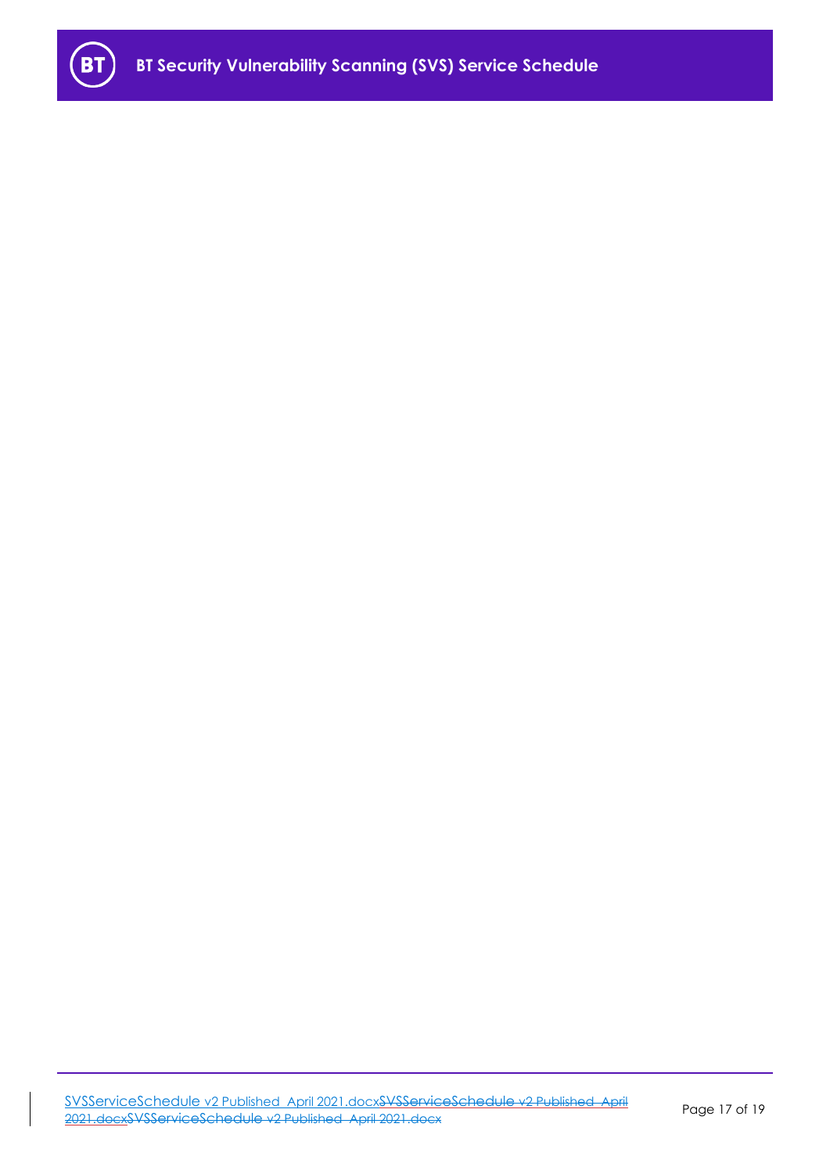

SVSServiceSchedule v2 Published April 2021.docxSVSServiceSchedule v2 Published April <u>3V3ServiceSchedule v2 Published April 2021.docx<del>3V3ServiceSchedule v2 Published April</del> Page 17 of 19<br>2021.docxSVSServiceSchedule v2 Published April 2021.docx</u>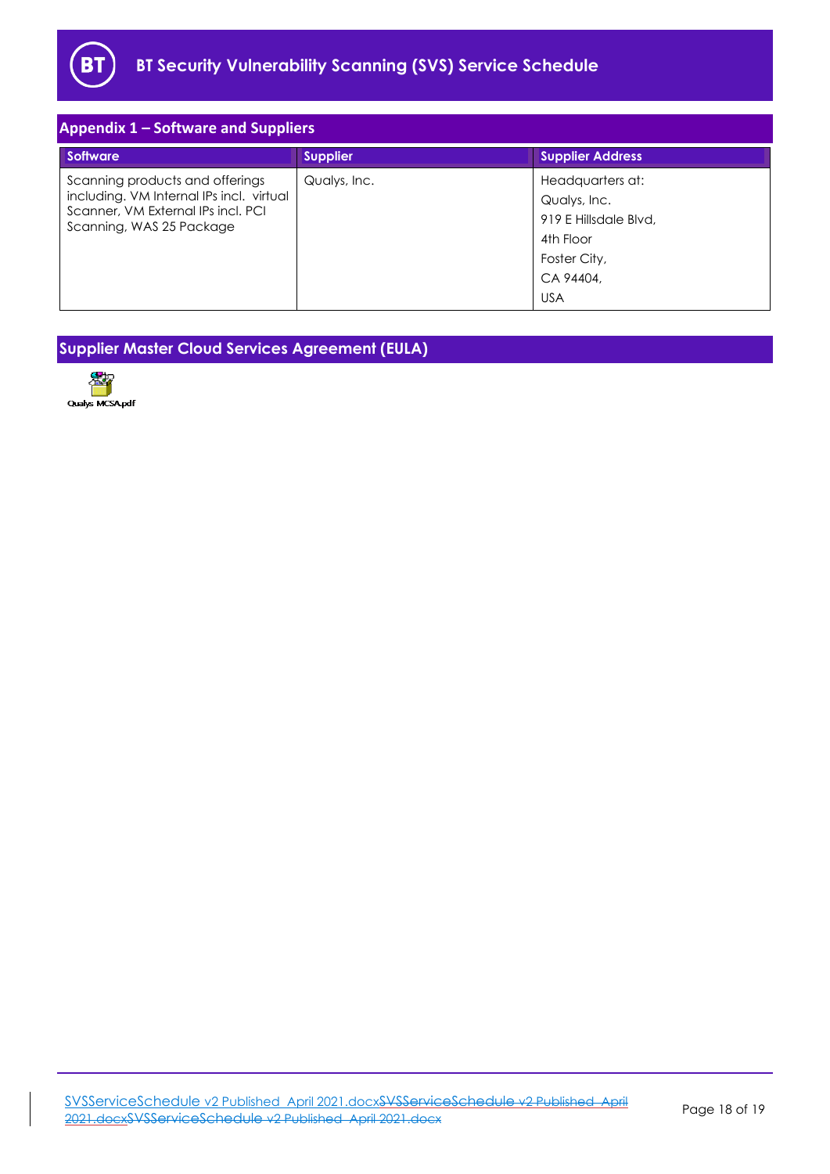

<span id="page-17-0"></span>

| Appendix 1 – Software and Suppliers                                                                                                           |                 |                                                                                                                   |  |  |
|-----------------------------------------------------------------------------------------------------------------------------------------------|-----------------|-------------------------------------------------------------------------------------------------------------------|--|--|
| Software                                                                                                                                      | <b>Supplier</b> | <b>Supplier Address</b>                                                                                           |  |  |
| Scanning products and offerings<br>including. VM Internal IPs incl. virtual<br>Scanner, VM External IPs incl. PCI<br>Scanning, WAS 25 Package | Qualys, Inc.    | Headquarters at:<br>Qualys, Inc.<br>919 E Hillsdale Blvd,<br>4th Floor<br>Foster City,<br>CA 94404,<br><b>USA</b> |  |  |

# **Supplier Master Cloud Services Agreement (EULA)**